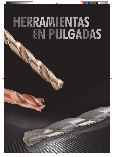# HERRAMIENTAS<br>EN PULGADAS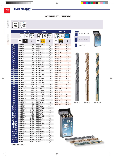# **BLUE-MASTER**

### **BROCAS PARA METAL EN PULGADAS**

**30˚ DIN 338**

**Brocas Metal** 

540

# **"N" BC2P BC5P BC95P**

|                    | 118°                    | 70<br>Kg/mm <sup>2</sup> | 135                 | 120<br>Kg/mm <sup>2</sup> |                                            | <b>INOX</b>             |
|--------------------|-------------------------|--------------------------|---------------------|---------------------------|--------------------------------------------|-------------------------|
|                    | <b>HSS</b><br><b>OX</b> | €                        | <b>HSSCo DORADO</b> | €                         | <b>DORADO</b><br><b>HSSCo</b><br><b>OX</b> | €                       |
| 1/32''             | BC2P1/32                | 1,70                     | <b>BC5P1/32</b>     | 2,13                      | BC95P1/32                                  | 2,38                    |
| 3/64''             | BC2P3/64                | 1,46                     | <b>BC5P3/64</b>     | 2,23                      | BC95P3/64                                  | 2,38                    |
| 1/16''             | BC2P1/16                | 1,24                     | BC5P1/16            | 2,23                      | BC95P1/16                                  | 2,38                    |
| 5/64''             | BC2P5/64                | 1,11                     | <b>BC5P5/64</b>     | 2,33                      | BC95P5/64                                  | 2,24                    |
| 3/32''             | BC2P3/32                | 1,24                     | BC5P3/32            | 2,33                      | BC95P3/32                                  | 2,24                    |
| 7/64''             | BC2P7/64                | 1,27                     | <b>BC5P7/64</b>     | 2,27                      | BC95P7/64                                  | 2,21                    |
| 1/8''              | <b>BC2P1/8</b>          | 1,11                     | <b>BC5P1/8</b>      | 2,17                      | BC95P1/8                                   | 2,19                    |
| 9/64''             | BC2P9/64                | 1,46                     | <b>BC5P9/64</b>     | 2,72                      | BC95P9/64                                  | 2,55                    |
| 5/32''             | <b>BC2P5/32</b>         | 1,51                     | <b>BC5P5/32</b>     | 2,72                      | BC95P5/32                                  | 2,86                    |
| 11/64''            | BC2P11/64               | 1,78                     | BC5P11/64           | 2,72                      | BC95P11/64                                 | 3,18                    |
| 3/16''             | BC2P3/16                | 1,62                     | BC5P3/16            | 2,83                      | BC95P3/16                                  | 3,38                    |
| 13/64''            | BC2P13/64               | 2,06                     | BC5P13/64           | 2,99                      | BC95P13/64                                 | 3,75                    |
| 7/32''             | <b>BC2P7/32</b>         | 2,69                     | <b>BC5P7/32</b>     | 4,16                      | BC95P7/32                                  | 3,95                    |
| 15/64''            | BC2P15/64               | 2,52                     | BC5P15/64           | 4,55                      | BC95P15/64                                 | 4,20                    |
| 1/4''              | <b>BC2P1/4</b>          | 2,31                     | <b>BC5P1/4</b>      | 4,62                      | BC95P1/4                                   | 4,56                    |
| 17/64''            | BC2P17/64               | 2,90                     | BC5P17/64           | 5,22                      | BC95P17/64                                 | 5,35                    |
| 9/32''             | BC2P9/32                | 4,50                     | BC5P9/32            | 7,02                      | BC95P9/32                                  | 6,22                    |
| 19/64''            | BC2P19/64               | 5,26                     | BC5P19/64           | 8,50                      | BC95P19/64                                 | 6,85                    |
| $\frac{1}{5}$ /16" | BC2P5/16                | 4,81                     | BC5P5/16            | 8,48                      | BC95P5/16                                  | 7,29                    |
| 21/64''            | BC2P21/64               | 5,68                     | BC5P21/64           | 8,12                      | BC95P21/64                                 | 7,60                    |
| 11/32''            | BC2P11/32               | 5,46                     | BC5P11/32           | 9,68                      | BC95P11/32                                 | 9,69                    |
| 23/64''            | BC2P23/64               | 7,21                     | BC5P23/64           | 11,46                     | BC95P23/64                                 | 9,69                    |
| 3/8''              | <b>BC2P3/8</b>          | 4,96                     | <b>BC5P3/8</b>      | 8,39                      | BC95P3/8                                   | 10,03                   |
| 25/64''            | BC2P25/64               | 8,49                     | BC5P25/64           | 13,39                     | BC95P25/64                                 | 11,09                   |
| 13/32''            | BC2P13/32               | 8,49                     | BC5P13/32           | 15,50                     | BC95P13/32                                 | 11,09                   |
| 27/64''            | BC2P27/64               | 8,70                     | BC5P27/64           | 18,59                     | BC95P27/64                                 | 14,97                   |
| 7/16''             | BC2P7/16                | 10,53                    | BC5P7/16            | 20,42                     | BC95P7/16                                  | 16,52                   |
| 29/64''            | BC2P29/64               | 8,40                     | BC5P29/64           | 17,24                     | BC95P29/64                                 | 19,02                   |
| 15/32''            | BC2P15/32               | 11,31                    | BC5P15/32           | 21,18                     | BC95P15/32                                 | 20,39                   |
| 31/64''            | BC2P31/64               | 12,41                    | BC5P31/64           | 24,61                     | BC95P31/64                                 | 22,72                   |
| $1/2$ "            | <b>BC2P1/2</b>          | 11,95                    | <b>BC5P1/2</b>      | 25,70                     | BC95P1/2                                   | 23,06                   |
| 33/64''            | BC2P33/64               | 14,69                    | BC5P33/64           | 25,70                     |                                            |                         |
| 17/32''            | BC2P17/32               | 15,11                    | BC5P17/32           | 25,43                     |                                            |                         |
| 35/64''            | BC2P35/64               | 21,78                    | BC5P35/64           | 30,02                     |                                            |                         |
| 9/16''             | BC2P9/16                | 23,61                    | BC5P9/16            | 33,21                     |                                            |                         |
| 37/64''            | BC2P37/64               | 18,98                    | BC5P37/64           | 41,94                     |                                            |                         |
| 19/32''            | BC2P19/32               | 17,64                    | BC5P19/32           | 36,19                     |                                            |                         |
| 39/64''            | BC2P39/64               | 26,24                    | BC5P39/64           | 57,89                     |                                            |                         |
| 5/8''              | <b>BC2P5/8</b>          | 21,47                    | <b>BC5P5/8</b>      | 43,45                     |                                            | <sub>Bot.</sub><br>BC95 |
| $*41/64"$          | BC2P41/64               | 24,52                    | BC5P41/64           | 45,25                     |                                            |                         |
| $*21/32"$          | BC2P21/32               | 24,98                    | BC5P21/32           | 47,11                     |                                            | 100X                    |
| $*43/64"$          | BC2P43/64               | 25,02                    | BC5P43/64           | 49,61                     |                                            | 恩日<br>◎区                |
| $*11/16"$          | BC2P11/16               | 28,68                    | BC5P11/16           | 54,96                     |                                            |                         |
| $*45/64"$          | BC2P45/64               | 31,25                    | BC5P45/64           | 58,11                     |                                            |                         |
| $*23/32"$          | BC2P23/32               | 32,25                    | BC5P23/32           | 60,11                     |                                            |                         |
| $*47/64"$          | BC2P47/64               | 33,69                    | BC5P47/64           | 66,12                     |                                            | $10 -$                  |
| $*3/4"$            | <b>BC2P3/4</b>          | 38,25                    | <b>BC5P3/4</b>      | 69,99                     |                                            |                         |
| $*49/64"$          | BC2P49/64               | 39,56                    | BC5P49/64           | 75,32                     |                                            |                         |
| $*25/32"$          | BC2P25/32               | 41,13                    | BC5P25/32           | 78,70                     |                                            |                         |
| $*$ ]"             | BC2P1                   | 83,11                    | BC5P1               | 164,85                    |                                            |                         |







STORE OF



Ref. BC2P Ref. BC5P Ref. BC95P



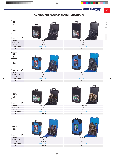**BLUE-MASTER®** 

# **BROCAS PARA METAL EN PULGADAS EN ESTUCHES DE METAL Y PLÁSTICO**

| <b>DIN</b><br>338<br><b>HSS</b><br>(Brocas Ref. BC2P) | <b>BLUE-MASTER</b><br><b>THE R</b>                                                                                 | <b>Provi</b><br>BLUE-MASTER |
|-------------------------------------------------------|--------------------------------------------------------------------------------------------------------------------|-----------------------------|
| <b>REFERENCIA</b>                                     | DP7021                                                                                                             | DP7029                      |
| N° BROCAS                                             | 21                                                                                                                 | 29                          |
| <b>CALIDAD</b>                                        | <b>HSS</b>                                                                                                         | <b>HSS</b>                  |
| <b>CONTENIDO</b>                                      | $Ø$ 1/16-3/8"                                                                                                      | $Ø$ 1/16-1/2"               |
| $P.V.P. \in$                                          | 62,70                                                                                                              | 142,98                      |
| <b>DIN</b><br>338<br><b>HSS</b>                       |                                                                                                                    |                             |
| (Brocas Ref. BC2P)                                    | <b>BLUE-MASTER</b>                                                                                                 | <b>BLUE-MASTER</b>          |
| <b>REFERENCIA</b>                                     | PP7021                                                                                                             | PP7029                      |
| N° BROCAS                                             | 21                                                                                                                 | 29                          |
| <b>CALIDAD</b>                                        | <b>HSS</b>                                                                                                         | <b>HSS</b>                  |
| <b>CONTENIDO</b>                                      | $Ø$ 1/16-3/8"                                                                                                      | $Ø$ 1/16-1/2"               |
| $P.V.P. \in$                                          | 62,70                                                                                                              | 142,98                      |
| <b>HSSCo</b><br>5%<br>(Brocas Ref. BC5P)              | <b>BLUE-MASTER</b><br><b><i><u>ITHING</u></i></b><br>$\begin{array}{c} \mathcal{H} \oplus \mathcal{H} \end{array}$ | <b>BLUE MASTER</b>          |
| <b>REFERENCIA</b>                                     | <b>DCP7021</b>                                                                                                     | <b>DCP7029</b>              |
| N° BROCAS                                             | 21                                                                                                                 | 29                          |
| <b>CALIDAD</b>                                        | <b>HSSCo</b>                                                                                                       | <b>HSSCo</b>                |
| <b>CONTENIDO</b>                                      | $Ø$ 1/16-3/8"                                                                                                      | $Ø$ 1/16-1/2"               |
| $P.V.P. \in$                                          | 105,51                                                                                                             | 262,14                      |
| <b>HSSCo</b><br>5%<br>(Brocas Ref. BC5P)              | <b>UE-MA</b><br><b>BLUE-MASTER</b>                                                                                 | <b>BLUE MASTER</b>          |
| <b>REFERENCIA</b>                                     | PCP7021                                                                                                            | <b>PCP7029</b>              |
| N° BROCAS                                             | 21                                                                                                                 | 29                          |
| <b>CALIDAD</b>                                        | <b>HSSCo</b>                                                                                                       | <b>HSSCo</b>                |
| <b>CONTENIDO</b>                                      | $Ø$ 1/16-3/8"                                                                                                      | $Ø$ 1/16-1/2"               |
| $P.V.P. \in$                                          | 105,51                                                                                                             | 262,14                      |

541

Gris Brocas Metal

Gris

Brocas Metal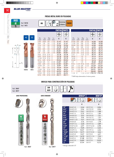### **BLUE-MASTER**

 $\leftarrow$  D<sub>2</sub>

FMT48 FMT2



13/64 5/8 1/4 2.1/2 7/32 5/8 1/4 2.1/2 15/64 3/4 1/4 2.1/2 1/4 3/4 1/4 2.1/2 17/64 7/8 5/16 2.1/2

19/64 7/8 5/16 2.1/2 5/16 7/8 5/16 2.1/2

5/16 2.1/2

|                      |                      |                      |                | <b>FMT48</b> | <b>MT2</b> |
|----------------------|----------------------|----------------------|----------------|--------------|------------|
|                      |                      |                      |                |              |            |
| D <sub>1</sub><br>mm | L <sub>2</sub><br>mm | D <sub>2</sub><br>mm | $L_1$<br>mm    | €            | €          |
| 21/64                | 7/8                  | 3/8                  | 2.1/2          | 65,00        | 65,00      |
| 11/32                | 7/8                  | 3/8                  | 2.1/2          | 65,00        | 65,00      |
| 23/64                | 7/8                  | 3/8                  | 2.1/2          | 65,00        | 65,00      |
| 3/8                  | 7/8                  | 3/8                  | 2.1/2          | 63,93        | 63,93      |
| 25/64                | 7/8                  | 7/16                 | 2.1/2          | 85,76        | 85,76      |
| 13/32                | 7/8                  | 7/16                 | 2.1/2          | 85,76        | 85,76      |
| 27/64                | 7/8                  | 7/16                 | 2.1/2          | 85,76        | 85,76      |
| 7/16                 | 1                    | 7/16                 | 2.1/2          | 85,76        | 85,76      |
| 29/64                | 1                    | 1/2                  | 3              | 94,16        | 94,16      |
| 15/32                | 1                    | 1/2                  | 3              | 94,16        | 94,16      |
| 31/64                | 1                    | 1/2                  | 3              | 94,16        | 94,16      |
| 1/2                  | 1                    | 1/2                  | 3              | 85,60        | 85,60      |
| 9/16                 | 1.1/4                | 9/16                 | 3.1/2          | 125,51       | 125,51     |
| 5/8                  | 1.1/4                | 5/8                  | 3.1/2          | 164,69       | 164,69     |
| 3/4                  | 1.1/2                | 3/4                  | $\overline{4}$ | 241,24       | 241,24     |
| 7/8                  | 1.1/2                | 7/8                  | 4              | 235,91       | 235,91     |
| 1                    | 1.1/2                | $\overline{1}$       | $\overline{4}$ | 356,02       | 356,02     |
| 1.1/4                | 2                    | 1.1/4                | 4.1/2          | 1.702,18     | 1.702,18   |

\* TiAlN bajo demanda al mismo precio

**\*11/16"** BW6P11/16 BW1P11/16 16,70 7,53

BW1P3/4 9,16

\***7/8″** BW6P7/8 24,83 BW1P7/8 10,39 **\*1"** BW6P1 BW1P1 37,94 12,72

### **BROCAS PARA CONSTRUCCIÓN EN PULGADAS**

34,87 34,87 34,87 34,87 34,87 34,87 33,44 33,44 46,24 46,24

46,24 46,24 40,11 40,11

46,24 46,24

| Ref. BW6P<br>Ref. BWIP    | <b>DIN</b><br>8039                   |           |                |             |                |             |
|---------------------------|--------------------------------------|-----------|----------------|-------------|----------------|-------------|
| <b>SERIE PROFESIONAL</b>  | <b>SERIE STANDARD</b>                |           |                | <b>BW6P</b> |                | <b>BW1P</b> |
|                           |                                      |           |                |             |                |             |
|                           |                                      |           |                | €           |                | €           |
|                           |                                      | 1/8''     | <b>BW6P1/8</b> | 2,34        | <b>BW1P1/8</b> | 0,96        |
|                           |                                      | 5/32''    | BW6P5/32       | 2,34        | BW1P5/32       | 0,96        |
|                           |                                      | 3/16''    | BW6P3/16       | 2,41        | BW1P3/16       | 1,00        |
|                           |                                      | 1/4''     | BW6P1/4        | 2,79        | <b>BW1P1/4</b> | 1,09        |
| <b>BW6</b>                | BW1                                  | 9/32''    | BW6P9/32       | 3,27        | BW1P9/32       | 1,21        |
|                           |                                      | 5/16''    | BW6P5/16       | 3,42        | BW1P5/16       | 1,37        |
| TALADROS EN               | <b>IALADROS EN</b><br><b>PAREDES</b> | 11/32''   | BW6P11/32      | 4,41        | BW1P11/32      | 1,62        |
|                           |                                      | 3/8''     | <b>BW6P3/8</b> | 4,76        | <b>BW1P3/8</b> | 1,78        |
|                           |                                      | 7/16''    | BW6P7/16       | 6,20        | BW1P7/16       | 2,89        |
|                           |                                      | 15/32''   | BW6P15/32      | 6,97        | BW1P15/32      | 2,98        |
| Profesio<br><b>DIN BO</b> |                                      | 1/2"      | BW6P1/2        | 9,39        | BW1P1/2        | 3,45        |
|                           |                                      | $*9/16"$  | BW6P9/16       | 10,37       | BW1P9/16       | 4,56        |
|                           |                                      | $*19/32"$ | BW6P19/32      | 12,77       | BW1P19/32      | 5,54        |
|                           |                                      | $*5/8"$   | <b>BW6P5/8</b> | 13,27       | BW1P5/8        | 6,27        |



**\*3/4"** BW6P3/4 **21,08**<br>**\*7/8"** BW6P7/8 **24,83** 

542

**FRESAS METAL DURO EN PULGADAS**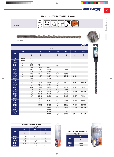**BLUE-MASTER** 

# **BROCAS PARA CONSTRUCCIÓN EN PULGADAS**

Ref. W05P

**SDS**  $\bigstar$ **Plus**  $\bigstar$ ★  $\big\{$ 

Ref. W05P

(BW)

 $\overline{\phantom{a}}$ 

|                             |                |       |       |                    |                 |       |                     | W05P   |
|-----------------------------|----------------|-------|-------|--------------------|-----------------|-------|---------------------|--------|
|                             |                |       |       | $L_1 \times L_2''$ |                 |       |                     |        |
|                             | 4 <sup>n</sup> | 6''   | 8''   | 10 <sup>''</sup>   | 12 <sup>n</sup> | 18''  | $24^{\prime\prime}$ | 39''   |
| D1                          | €              | €     | €     | €                  | €               | €     | €                   | €      |
| $1/8$ "                     | 14,44          | 16,22 |       |                    |                 |       |                     |        |
| 9/64''                      | 12,62          | 12,92 |       |                    |                 |       |                     |        |
| 5/32''                      | 6,19           | 10,54 |       |                    |                 |       |                     |        |
| 13/64''                     | 5,07           | 6,39  | 10,04 |                    | 15,32           |       |                     |        |
| 7/32''                      | 5,92           | 6,87  | 12,04 | 16,81              |                 |       |                     |        |
| 15/64''                     | 5,22           | 6,02  | 8,87  | 13,43              |                 | 29,89 |                     |        |
| 1/4''                       | 6,66           | 7,36  | 13,76 | 14,10              | 18,17           |       |                     |        |
| 9/32''                      | 6,66           | 7,36  | 11,56 | 15,21              | 19,22           | 26,88 |                     |        |
| 5/16''                      | 6,57           | 6,62  | 8,37  | 12,17              | 17,90           | 23,92 | 41,60               |        |
| 23/64''                     |                | 8,49  | 10,22 | 12,44              |                 |       |                     |        |
| 3/8''                       |                | 10,44 |       |                    |                 |       |                     |        |
| 25/64''                     | 7,05           | 8,22  | 9,97  | 12,62              | 16,95           | 26,18 | 38,45               | 100,83 |
| 7/16''                      |                | 10,17 | 12,36 | 13,91              | 25,17           |       |                     |        |
| 15/32''                     |                | 9,22  | 11,34 | 13,69              | 19,75           | 25,12 | 37,67               | 95,08  |
| $1/2$ "                     |                | 14,54 | 18,93 | 17,50              | 20,58           | 33,08 |                     |        |
| 35/64''                     |                | 14,88 | 16,36 | 18,27              | 22,19           | 29,34 | 43,60               | 103,22 |
| 19/32''                     |                | 16,79 | 20,69 | 21,74              |                 | 35,73 |                     |        |
| 5/8''                       |                | 16,79 | 20,48 | 22,52              | 25,49           | 34,89 | 46,87               | 117,30 |
| 43/64''                     |                |       | 27,50 |                    |                 |       |                     |        |
| 45/64"                      |                |       | 27,71 | 31,37              | 45,18           | 39,84 | 64,48               | 140,51 |
| 3/4''                       |                |       | 33,19 |                    | 41,91           | 45,68 |                     |        |
| 25/32''                     |                |       | 31,05 | 33,58              | 40,98           | 51,56 | 71,43               | 147,90 |
| 7/8''                       |                |       |       | 38,96              | 47,75           | 57,09 | 92,84               | 152,00 |
| 29/32''                     |                |       |       | 55,28              |                 |       |                     |        |
| 15/16''                     |                |       |       | 45,82              |                 | 70,89 |                     |        |
| $\mathbf{I}^{\prime\prime}$ |                |       |       | 49,12              | 54,23           | 64,86 | 89,12               | 166,50 |

| <b>W05P - 10 UNIDADES</b> |                 |                 |                 |  |  |  |  |
|---------------------------|-----------------|-----------------|-----------------|--|--|--|--|
| $L_1 \times L_2$ "        |                 |                 |                 |  |  |  |  |
|                           | 4 <sup>''</sup> | 6 <sup>II</sup> | 8 <sup>II</sup> |  |  |  |  |
| D <sub>1</sub>            | €               | €               | €               |  |  |  |  |
| 13/64''                   | 45,65           | 57,39           |                 |  |  |  |  |
| 15/64''                   | 46,97           | 54,16           | 79,77           |  |  |  |  |
| 5/16''                    | 59,23           | 59,71           | 75,31           |  |  |  |  |
| 25/64''                   | 63,37           | 74,00           | 89,79           |  |  |  |  |
| 15/32''                   |                 | 82,90           | 102,13          |  |  |  |  |

| <b>WO5P - 50 UNIDADES</b> |        |  |  |  |  |
|---------------------------|--------|--|--|--|--|
| $L_1 \times L_2$ "        |        |  |  |  |  |
|                           | 6″     |  |  |  |  |
| DI                        | €      |  |  |  |  |
| 15/64''                   | 261,76 |  |  |  |  |
| 5/16''                    | 274,48 |  |  |  |  |



Brocas Construcción Gris Brocas Construcción Gris